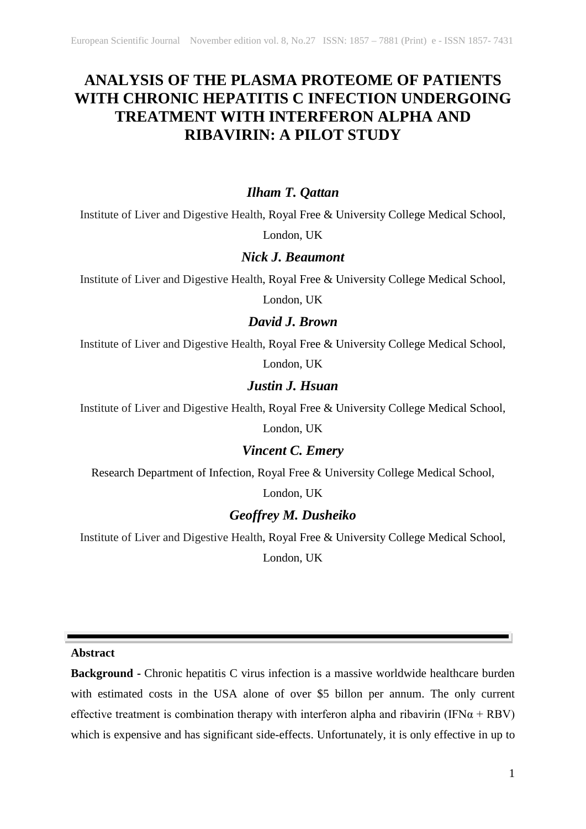# **ANALYSIS OF THE PLASMA PROTEOME OF PATIENTS WITH CHRONIC HEPATITIS C INFECTION UNDERGOING TREATMENT WITH INTERFERON ALPHA AND RIBAVIRIN: A PILOT STUDY**

## *Ilham T. Qattan*

Institute of Liver and Digestive Health, Royal Free & University College Medical School,

London, UK

### *Nick J. Beaumont*

Institute of Liver and Digestive Health, Royal Free & University College Medical School,

London, UK

## *David J. Brown*

Institute of Liver and Digestive Health, Royal Free & University College Medical School,

London, UK

## *Justin J. Hsuan*

Institute of Liver and Digestive Health, Royal Free & University College Medical School,

London, UK

## *Vincent C. Emery*

Research Department of Infection, Royal Free & University College Medical School,

London, UK

## *Geoffrey M. Dusheiko*

Institute of Liver and Digestive Health, Royal Free & University College Medical School,

London, UK

**Abstract**

**Background -** Chronic hepatitis C virus infection is a massive worldwide healthcare burden with estimated costs in the USA alone of over \$5 billon per annum. The only current effective treatment is combination therapy with interferon alpha and ribavirin (IFN $\alpha$  + RBV) which is expensive and has significant side-effects. Unfortunately, it is only effective in up to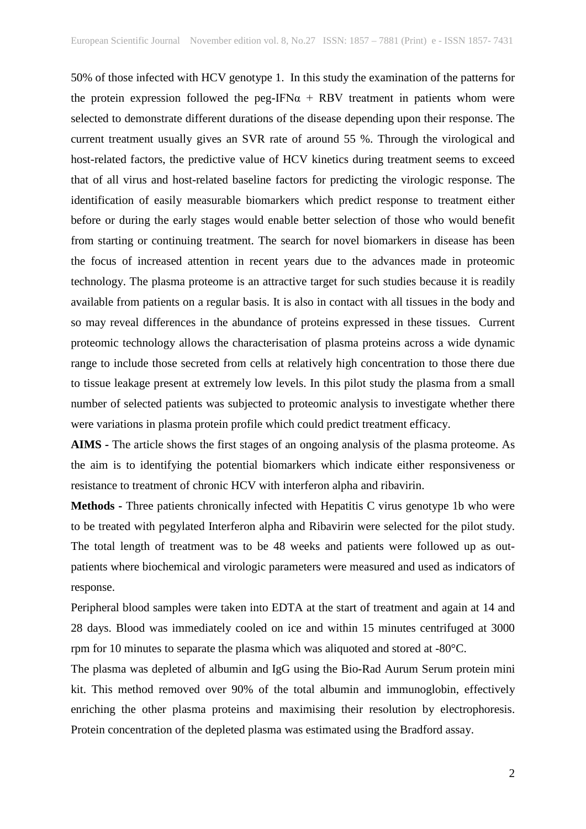50% of those infected with HCV genotype 1. In this study the examination of the patterns for the protein expression followed the peg-IFN $\alpha$  + RBV treatment in patients whom were selected to demonstrate different durations of the disease depending upon their response. The current treatment usually gives an SVR rate of around 55 %. Through the virological and host-related factors, the predictive value of HCV kinetics during treatment seems to exceed that of all virus and host-related baseline factors for predicting the virologic response. The identification of easily measurable biomarkers which predict response to treatment either before or during the early stages would enable better selection of those who would benefit from starting or continuing treatment. The search for novel biomarkers in disease has been the focus of increased attention in recent years due to the advances made in proteomic technology. The plasma proteome is an attractive target for such studies because it is readily available from patients on a regular basis. It is also in contact with all tissues in the body and so may reveal differences in the abundance of proteins expressed in these tissues. Current proteomic technology allows the characterisation of plasma proteins across a wide dynamic range to include those secreted from cells at relatively high concentration to those there due to tissue leakage present at extremely low levels. In this pilot study the plasma from a small number of selected patients was subjected to proteomic analysis to investigate whether there were variations in plasma protein profile which could predict treatment efficacy.

**AIMS -** The article shows the first stages of an ongoing analysis of the plasma proteome. As the aim is to identifying the potential biomarkers which indicate either responsiveness or resistance to treatment of chronic HCV with interferon alpha and ribavirin.

**Methods -** Three patients chronically infected with Hepatitis C virus genotype 1b who were to be treated with pegylated Interferon alpha and Ribavirin were selected for the pilot study. The total length of treatment was to be 48 weeks and patients were followed up as outpatients where biochemical and virologic parameters were measured and used as indicators of response.

Peripheral blood samples were taken into EDTA at the start of treatment and again at 14 and 28 days. Blood was immediately cooled on ice and within 15 minutes centrifuged at 3000 rpm for 10 minutes to separate the plasma which was aliquoted and stored at -80°C.

The plasma was depleted of albumin and IgG using the Bio-Rad Aurum Serum protein mini kit. This method removed over 90% of the total albumin and immunoglobin, effectively enriching the other plasma proteins and maximising their resolution by electrophoresis. Protein concentration of the depleted plasma was estimated using the Bradford assay.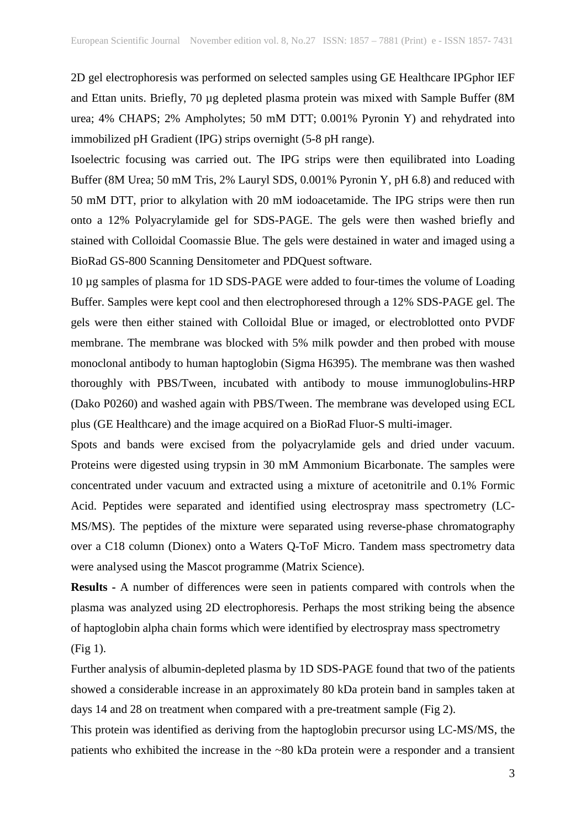2D gel electrophoresis was performed on selected samples using GE Healthcare IPGphor IEF and Ettan units. Briefly, 70 µg depleted plasma protein was mixed with Sample Buffer (8M urea; 4% CHAPS; 2% Ampholytes; 50 mM DTT; 0.001% Pyronin Y) and rehydrated into immobilized pH Gradient (IPG) strips overnight (5-8 pH range).

Isoelectric focusing was carried out. The IPG strips were then equilibrated into Loading Buffer (8M Urea; 50 mM Tris, 2% Lauryl SDS, 0.001% Pyronin Y, pH 6.8) and reduced with 50 mM DTT, prior to alkylation with 20 mM iodoacetamide. The IPG strips were then run onto a 12% Polyacrylamide gel for SDS-PAGE. The gels were then washed briefly and stained with Colloidal Coomassie Blue. The gels were destained in water and imaged using a BioRad GS-800 Scanning Densitometer and PDQuest software.

10 µg samples of plasma for 1D SDS-PAGE were added to four-times the volume of Loading Buffer. Samples were kept cool and then electrophoresed through a 12% SDS-PAGE gel. The gels were then either stained with Colloidal Blue or imaged, or electroblotted onto PVDF membrane. The membrane was blocked with 5% milk powder and then probed with mouse monoclonal antibody to human haptoglobin (Sigma H6395). The membrane was then washed thoroughly with PBS/Tween, incubated with antibody to mouse immunoglobulins-HRP (Dako P0260) and washed again with PBS/Tween. The membrane was developed using ECL plus (GE Healthcare) and the image acquired on a BioRad Fluor-S multi-imager.

Spots and bands were excised from the polyacrylamide gels and dried under vacuum. Proteins were digested using trypsin in 30 mM Ammonium Bicarbonate. The samples were concentrated under vacuum and extracted using a mixture of acetonitrile and 0.1% Formic Acid. Peptides were separated and identified using electrospray mass spectrometry (LC-MS/MS). The peptides of the mixture were separated using reverse-phase chromatography over a C18 column (Dionex) onto a Waters Q-ToF Micro. Tandem mass spectrometry data were analysed using the Mascot programme (Matrix Science).

**Results -** A number of differences were seen in patients compared with controls when the plasma was analyzed using 2D electrophoresis. Perhaps the most striking being the absence of haptoglobin alpha chain forms which were identified by electrospray mass spectrometry (Fig 1).

Further analysis of albumin-depleted plasma by 1D SDS-PAGE found that two of the patients showed a considerable increase in an approximately 80 kDa protein band in samples taken at days 14 and 28 on treatment when compared with a pre-treatment sample (Fig 2).

This protein was identified as deriving from the haptoglobin precursor using LC-MS/MS, the patients who exhibited the increase in the ~80 kDa protein were a responder and a transient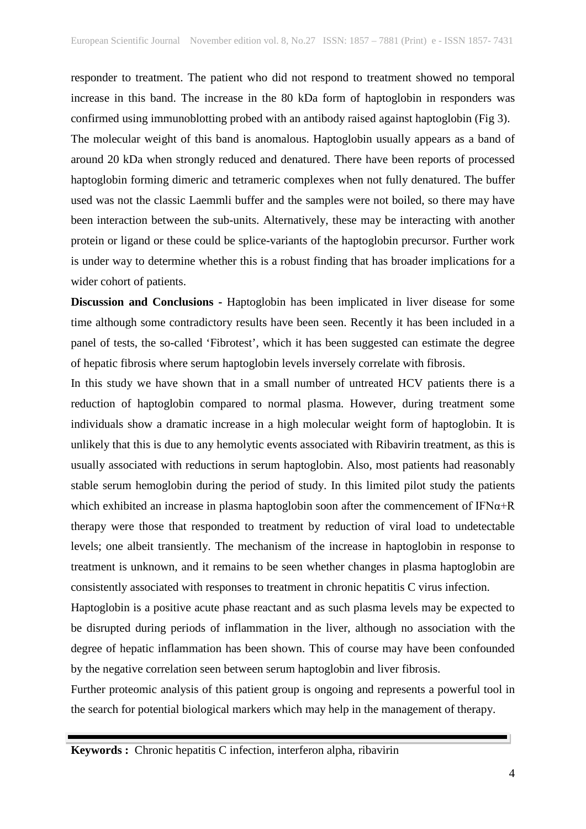responder to treatment. The patient who did not respond to treatment showed no temporal increase in this band. The increase in the 80 kDa form of haptoglobin in responders was confirmed using immunoblotting probed with an antibody raised against haptoglobin (Fig 3). The molecular weight of this band is anomalous. Haptoglobin usually appears as a band of around 20 kDa when strongly reduced and denatured. There have been reports of processed haptoglobin forming dimeric and tetrameric complexes when not fully denatured. The buffer used was not the classic Laemmli buffer and the samples were not boiled, so there may have been interaction between the sub-units. Alternatively, these may be interacting with another protein or ligand or these could be splice-variants of the haptoglobin precursor. Further work is under way to determine whether this is a robust finding that has broader implications for a wider cohort of patients.

**Discussion and Conclusions -** Haptoglobin has been implicated in liver disease for some time although some contradictory results have been seen. Recently it has been included in a panel of tests, the so-called 'Fibrotest', which it has been suggested can estimate the degree of hepatic fibrosis where serum haptoglobin levels inversely correlate with fibrosis.

In this study we have shown that in a small number of untreated HCV patients there is a reduction of haptoglobin compared to normal plasma. However, during treatment some individuals show a dramatic increase in a high molecular weight form of haptoglobin. It is unlikely that this is due to any hemolytic events associated with Ribavirin treatment, as this is usually associated with reductions in serum haptoglobin. Also, most patients had reasonably stable serum hemoglobin during the period of study. In this limited pilot study the patients which exhibited an increase in plasma haptoglobin soon after the commencement of  $IFN\alpha+R$ therapy were those that responded to treatment by reduction of viral load to undetectable levels; one albeit transiently. The mechanism of the increase in haptoglobin in response to treatment is unknown, and it remains to be seen whether changes in plasma haptoglobin are consistently associated with responses to treatment in chronic hepatitis C virus infection.

Haptoglobin is a positive acute phase reactant and as such plasma levels may be expected to be disrupted during periods of inflammation in the liver, although no association with the degree of hepatic inflammation has been shown. This of course may have been confounded by the negative correlation seen between serum haptoglobin and liver fibrosis.

Further proteomic analysis of this patient group is ongoing and represents a powerful tool in the search for potential biological markers which may help in the management of therapy.

**Keywords :** Chronic hepatitis C infection, interferon alpha, ribavirin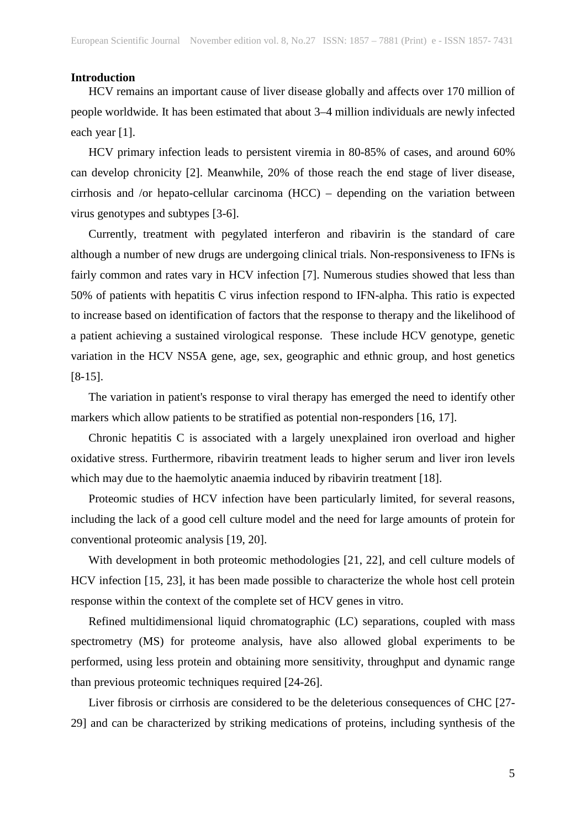#### **Introduction**

HCV remains an important cause of liver disease globally and affects over 170 million of people worldwide. It has been estimated that about 3–4 million individuals are newly infected each year [1].

HCV primary infection leads to persistent viremia in 80-85% of cases, and around 60% can develop chronicity [2]. Meanwhile, 20% of those reach the end stage of liver disease, cirrhosis and /or hepato-cellular carcinoma (HCC) – depending on the variation between virus genotypes and subtypes [3-6].

Currently, treatment with pegylated interferon and ribavirin is the standard of care although a number of new drugs are undergoing clinical trials. Non-responsiveness to IFNs is fairly common and rates vary in HCV infection [7]. Numerous studies showed that less than 50% of patients with hepatitis C virus infection respond to IFN-alpha. This ratio is expected to increase based on identification of factors that the response to therapy and the likelihood of a patient achieving a sustained virological response. These include HCV genotype, genetic variation in the HCV NS5A gene, age, sex, geographic and ethnic group, and host genetics [8-15].

The variation in patient's response to viral therapy has emerged the need to identify other markers which allow patients to be stratified as potential non-responders [16, 17].

Chronic hepatitis C is associated with a largely unexplained iron overload and higher oxidative stress. Furthermore, ribavirin treatment leads to higher serum and liver iron levels which may due to the haemolytic anaemia induced by ribavirin treatment [18].

Proteomic studies of HCV infection have been particularly limited, for several reasons, including the lack of a good cell culture model and the need for large amounts of protein for conventional proteomic analysis [19, 20].

With development in both proteomic methodologies [21, 22], and cell culture models of HCV infection [15, 23], it has been made possible to characterize the whole host cell protein response within the context of the complete set of HCV genes in vitro.

Refined multidimensional liquid chromatographic (LC) separations, coupled with mass spectrometry (MS) for proteome analysis, have also allowed global experiments to be performed, using less protein and obtaining more sensitivity, throughput and dynamic range than previous proteomic techniques required [24-26].

Liver fibrosis or cirrhosis are considered to be the deleterious consequences of CHC [27- 29] and can be characterized by striking medications of proteins, including synthesis of the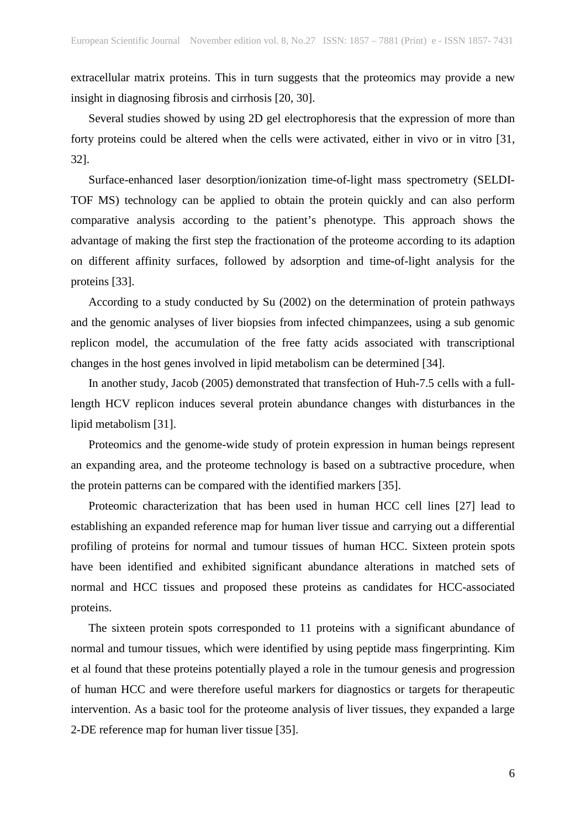extracellular matrix proteins. This in turn suggests that the proteomics may provide a new insight in diagnosing fibrosis and cirrhosis [20, 30].

Several studies showed by using 2D gel electrophoresis that the expression of more than forty proteins could be altered when the cells were activated, either in vivo or in vitro [31, 32].

Surface-enhanced laser desorption/ionization time-of-light mass spectrometry (SELDI-TOF MS) technology can be applied to obtain the protein quickly and can also perform comparative analysis according to the patient's phenotype. This approach shows the advantage of making the first step the fractionation of the proteome according to its adaption on different affinity surfaces, followed by adsorption and time-of-light analysis for the proteins [33].

According to a study conducted by Su (2002) on the determination of protein pathways and the genomic analyses of liver biopsies from infected chimpanzees, using a sub genomic replicon model, the accumulation of the free fatty acids associated with transcriptional changes in the host genes involved in lipid metabolism can be determined [34].

In another study, Jacob (2005) demonstrated that transfection of Huh-7.5 cells with a fulllength HCV replicon induces several protein abundance changes with disturbances in the lipid metabolism [31].

Proteomics and the genome-wide study of protein expression in human beings represent an expanding area, and the proteome technology is based on a subtractive procedure, when the protein patterns can be compared with the identified markers [35].

Proteomic characterization that has been used in human HCC cell lines [27] lead to establishing an expanded reference map for human liver tissue and carrying out a differential profiling of proteins for normal and tumour tissues of human HCC. Sixteen protein spots have been identified and exhibited significant abundance alterations in matched sets of normal and HCC tissues and proposed these proteins as candidates for HCC-associated proteins.

The sixteen protein spots corresponded to 11 proteins with a significant abundance of normal and tumour tissues, which were identified by using peptide mass fingerprinting. Kim et al found that these proteins potentially played a role in the tumour genesis and progression of human HCC and were therefore useful markers for diagnostics or targets for therapeutic intervention. As a basic tool for the proteome analysis of liver tissues, they expanded a large 2-DE reference map for human liver tissue [35].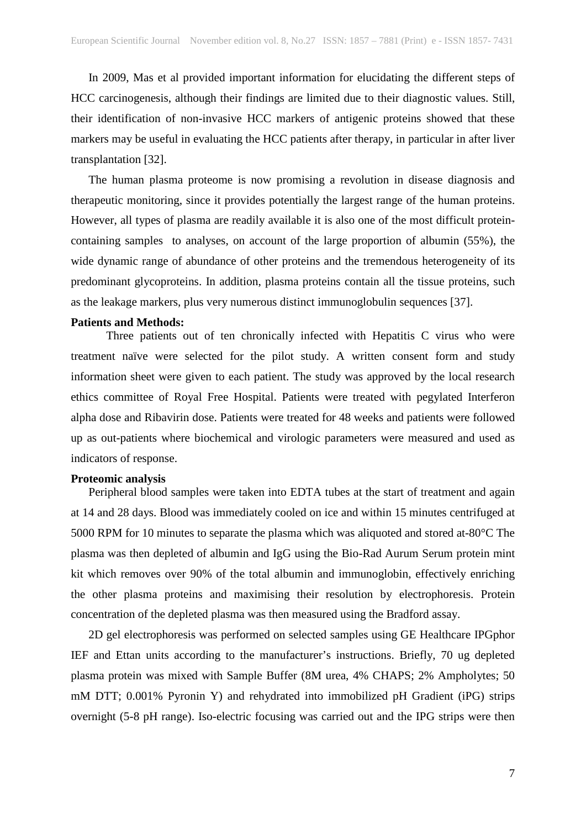In 2009, Mas et al provided important information for elucidating the different steps of HCC carcinogenesis, although their findings are limited due to their diagnostic values. Still, their identification of non-invasive HCC markers of antigenic proteins showed that these markers may be useful in evaluating the HCC patients after therapy, in particular in after liver transplantation [32].

The human plasma proteome is now promising a revolution in disease diagnosis and therapeutic monitoring, since it provides potentially the largest range of the human proteins. However, all types of plasma are readily available it is also one of the most difficult proteincontaining samples to analyses, on account of the large proportion of albumin (55%), the wide dynamic range of abundance of other proteins and the tremendous heterogeneity of its predominant glycoproteins. In addition, plasma proteins contain all the tissue proteins, such as the leakage markers, plus very numerous distinct immunoglobulin sequences [37].

#### **Patients and Methods:**

Three patients out of ten chronically infected with Hepatitis C virus who were treatment naïve were selected for the pilot study. A written consent form and study information sheet were given to each patient. The study was approved by the local research ethics committee of Royal Free Hospital. Patients were treated with pegylated Interferon alpha dose and Ribavirin dose. Patients were treated for 48 weeks and patients were followed up as out-patients where biochemical and virologic parameters were measured and used as indicators of response.

#### **Proteomic analysis**

Peripheral blood samples were taken into EDTA tubes at the start of treatment and again at 14 and 28 days. Blood was immediately cooled on ice and within 15 minutes centrifuged at 5000 RPM for 10 minutes to separate the plasma which was aliquoted and stored at-80°C The plasma was then depleted of albumin and IgG using the Bio-Rad Aurum Serum protein mint kit which removes over 90% of the total albumin and immunoglobin, effectively enriching the other plasma proteins and maximising their resolution by electrophoresis. Protein concentration of the depleted plasma was then measured using the Bradford assay.

2D gel electrophoresis was performed on selected samples using GE Healthcare IPGphor IEF and Ettan units according to the manufacturer's instructions. Briefly, 70 ug depleted plasma protein was mixed with Sample Buffer (8M urea, 4% CHAPS; 2% Ampholytes; 50 mM DTT; 0.001% Pyronin Y) and rehydrated into immobilized pH Gradient (iPG) strips overnight (5-8 pH range). Iso-electric focusing was carried out and the IPG strips were then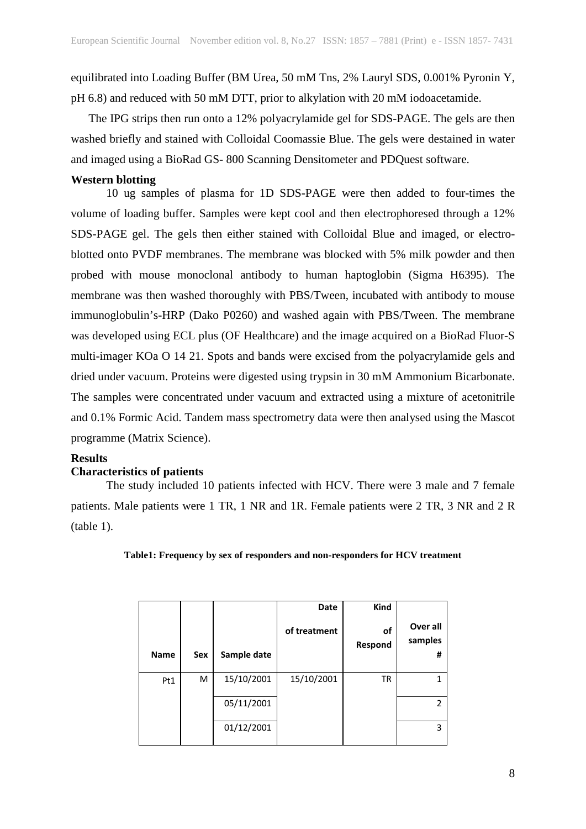equilibrated into Loading Buffer (BM Urea, 50 mM Tns, 2% Lauryl SDS, 0.001% Pyronin Y, pH 6.8) and reduced with 50 mM DTT, prior to alkylation with 20 mM iodoacetamide.

The IPG strips then run onto a 12% polyacrylamide gel for SDS-PAGE. The gels are then washed briefly and stained with Colloidal Coomassie Blue. The gels were destained in water and imaged using a BioRad GS- 800 Scanning Densitometer and PDQuest software.

#### **Western blotting**

10 ug samples of plasma for 1D SDS-PAGE were then added to four-times the volume of loading buffer. Samples were kept cool and then electrophoresed through a 12% SDS-PAGE gel. The gels then either stained with Colloidal Blue and imaged, or electroblotted onto PVDF membranes. The membrane was blocked with 5% milk powder and then probed with mouse monoclonal antibody to human haptoglobin (Sigma H6395). The membrane was then washed thoroughly with PBS/Tween, incubated with antibody to mouse immunoglobulin's-HRP (Dako P0260) and washed again with PBS/Tween. The membrane was developed using ECL plus (OF Healthcare) and the image acquired on a BioRad Fluor-S multi-imager KOa O 14 21. Spots and bands were excised from the polyacrylamide gels and dried under vacuum. Proteins were digested using trypsin in 30 mM Ammonium Bicarbonate. The samples were concentrated under vacuum and extracted using a mixture of acetonitrile and 0.1% Formic Acid. Tandem mass spectrometry data were then analysed using the Mascot programme (Matrix Science).

#### **Results**

#### **Characteristics of patients**

The study included 10 patients infected with HCV. There were 3 male and 7 female patients. Male patients were 1 TR, 1 NR and 1R. Female patients were 2 TR, 3 NR and 2 R (table 1).

|  |  |  | Table1: Frequency by sex of responders and non-responders for HCV treatment |  |
|--|--|--|-----------------------------------------------------------------------------|--|
|  |  |  |                                                                             |  |

| <b>Name</b> | Sex | Sample date | Date<br>of treatment | Kind<br>οf<br>Respond | Over all<br>samples<br># |
|-------------|-----|-------------|----------------------|-----------------------|--------------------------|
| Pt1         | M   | 15/10/2001  | 15/10/2001           | ΤR                    | 1                        |
|             |     | 05/11/2001  |                      |                       | 2                        |
|             |     | 01/12/2001  |                      |                       | 3                        |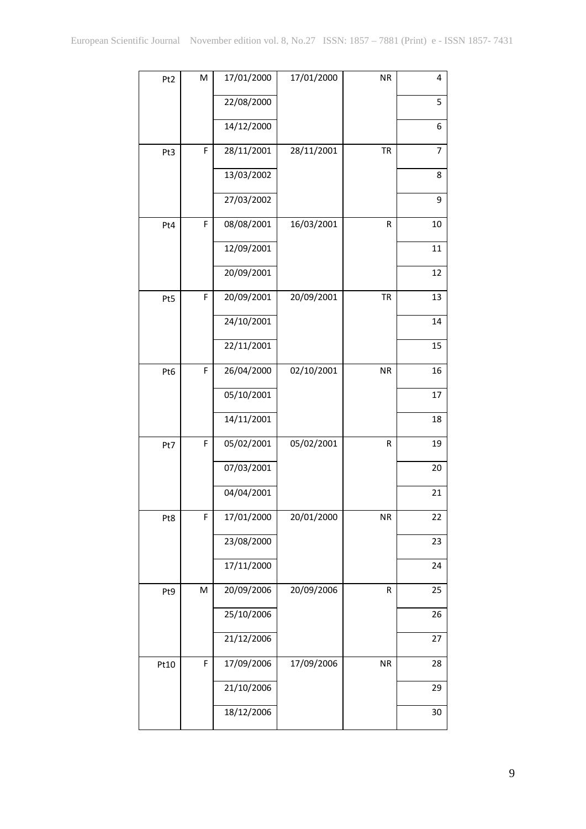| Pt <sub>2</sub> | M | 17/01/2000 | 17/01/2000 | <b>NR</b> | 4  |
|-----------------|---|------------|------------|-----------|----|
|                 |   |            |            |           |    |
|                 |   | 22/08/2000 |            |           | 5  |
|                 |   | 14/12/2000 |            |           | 6  |
| Pt3             | F | 28/11/2001 | 28/11/2001 | <b>TR</b> | 7  |
|                 |   | 13/03/2002 |            |           | 8  |
|                 |   | 27/03/2002 |            |           | 9  |
| Pt4             | F | 08/08/2001 | 16/03/2001 | R         | 10 |
|                 |   | 12/09/2001 |            |           | 11 |
|                 |   | 20/09/2001 |            |           | 12 |
| Pt5             | F | 20/09/2001 | 20/09/2001 | <b>TR</b> | 13 |
|                 |   | 24/10/2001 |            |           | 14 |
|                 |   | 22/11/2001 |            |           | 15 |
| Pt6             | F | 26/04/2000 | 02/10/2001 | <b>NR</b> | 16 |
|                 |   | 05/10/2001 |            |           | 17 |
|                 |   | 14/11/2001 |            |           | 18 |
| Pt7             | F | 05/02/2001 | 05/02/2001 | R         | 19 |
|                 |   | 07/03/2001 |            |           | 20 |
|                 |   | 04/04/2001 |            |           | 21 |
| Pt8             | F | 17/01/2000 | 20/01/2000 | <b>NR</b> | 22 |
|                 |   | 23/08/2000 |            |           | 23 |
|                 |   | 17/11/2000 |            |           | 24 |
| Pt9             | M | 20/09/2006 | 20/09/2006 | R         | 25 |
|                 |   | 25/10/2006 |            |           | 26 |
|                 |   | 21/12/2006 |            |           | 27 |
| Pt10            | F | 17/09/2006 | 17/09/2006 | <b>NR</b> | 28 |
|                 |   | 21/10/2006 |            |           | 29 |
|                 |   | 18/12/2006 |            |           | 30 |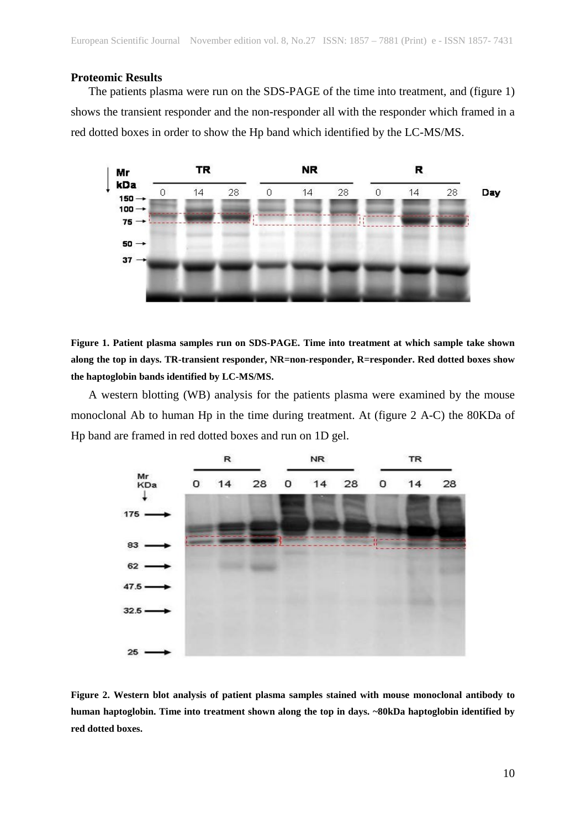#### **Proteomic Results**

The patients plasma were run on the SDS-PAGE of the time into treatment, and (figure 1) shows the transient responder and the non-responder all with the responder which framed in a red dotted boxes in order to show the Hp band which identified by the LC-MS/MS.



**Figure 1. Patient plasma samples run on SDS-PAGE. Time into treatment at which sample take shown along the top in days. TR-transient responder, NR=non-responder, R=responder. Red dotted boxes show the haptoglobin bands identified by LC-MS/MS.**

A western blotting (WB) analysis for the patients plasma were examined by the mouse monoclonal Ab to human Hp in the time during treatment. At (figure 2 A-C) the 80KDa of Hp band are framed in red dotted boxes and run on 1D gel.



**Figure 2. Western blot analysis of patient plasma samples stained with mouse monoclonal antibody to human haptoglobin. Time into treatment shown along the top in days. ~80kDa haptoglobin identified by red dotted boxes.**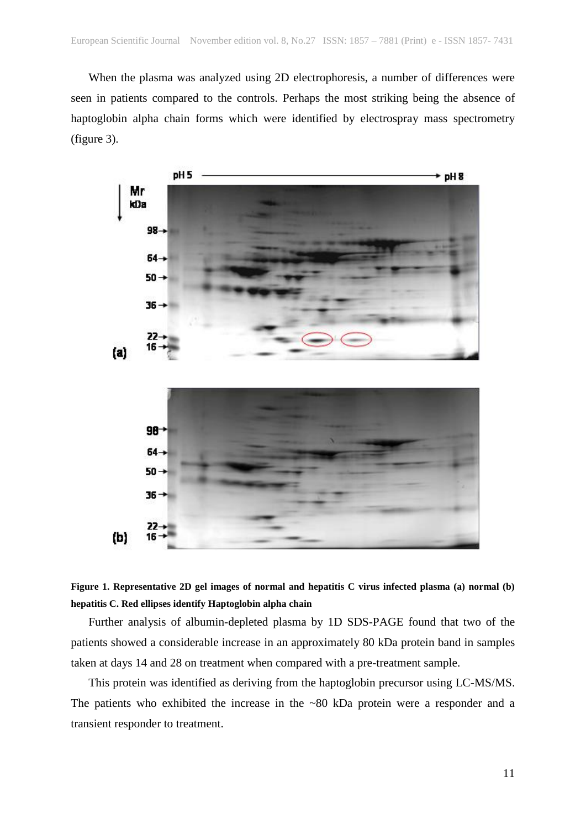When the plasma was analyzed using 2D electrophoresis, a number of differences were seen in patients compared to the controls. Perhaps the most striking being the absence of haptoglobin alpha chain forms which were identified by electrospray mass spectrometry (figure 3).





Further analysis of albumin-depleted plasma by 1D SDS-PAGE found that two of the patients showed a considerable increase in an approximately 80 kDa protein band in samples taken at days 14 and 28 on treatment when compared with a pre-treatment sample.

This protein was identified as deriving from the haptoglobin precursor using LC-MS/MS. The patients who exhibited the increase in the ~80 kDa protein were a responder and a transient responder to treatment.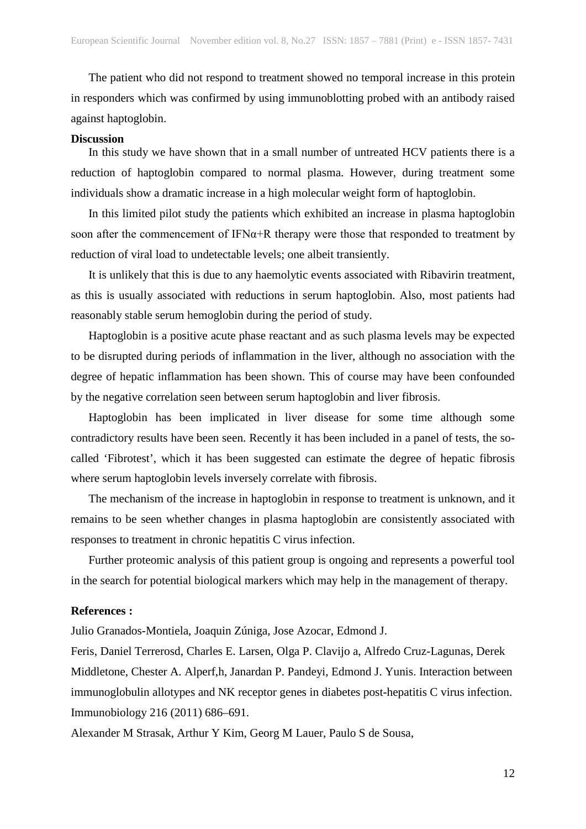The patient who did not respond to treatment showed no temporal increase in this protein in responders which was confirmed by using immunoblotting probed with an antibody raised against haptoglobin.

#### **Discussion**

In this study we have shown that in a small number of untreated HCV patients there is a reduction of haptoglobin compared to normal plasma. However, during treatment some individuals show a dramatic increase in a high molecular weight form of haptoglobin.

In this limited pilot study the patients which exhibited an increase in plasma haptoglobin soon after the commencement of IFN $\alpha$ +R therapy were those that responded to treatment by reduction of viral load to undetectable levels; one albeit transiently.

It is unlikely that this is due to any haemolytic events associated with Ribavirin treatment, as this is usually associated with reductions in serum haptoglobin. Also, most patients had reasonably stable serum hemoglobin during the period of study.

Haptoglobin is a positive acute phase reactant and as such plasma levels may be expected to be disrupted during periods of inflammation in the liver, although no association with the degree of hepatic inflammation has been shown. This of course may have been confounded by the negative correlation seen between serum haptoglobin and liver fibrosis.

Haptoglobin has been implicated in liver disease for some time although some contradictory results have been seen. Recently it has been included in a panel of tests, the socalled 'Fibrotest', which it has been suggested can estimate the degree of hepatic fibrosis where serum haptoglobin levels inversely correlate with fibrosis.

The mechanism of the increase in haptoglobin in response to treatment is unknown, and it remains to be seen whether changes in plasma haptoglobin are consistently associated with responses to treatment in chronic hepatitis C virus infection.

Further proteomic analysis of this patient group is ongoing and represents a powerful tool in the search for potential biological markers which may help in the management of therapy.

#### **References :**

Julio Granados-Montiela, Joaquin Zúniga, Jose Azocar, Edmond J.

Feris, Daniel Terrerosd, Charles E. Larsen, Olga P. Clavijo a, Alfredo Cruz-Lagunas, Derek Middletone, Chester A. Alperf,h, Janardan P. Pandeyi, Edmond J. Yunis. Interaction between immunoglobulin allotypes and NK receptor genes in diabetes post-hepatitis C virus infection. Immunobiology 216 (2011) 686–691.

Alexander M Strasak, Arthur Y Kim, Georg M Lauer, Paulo S de Sousa,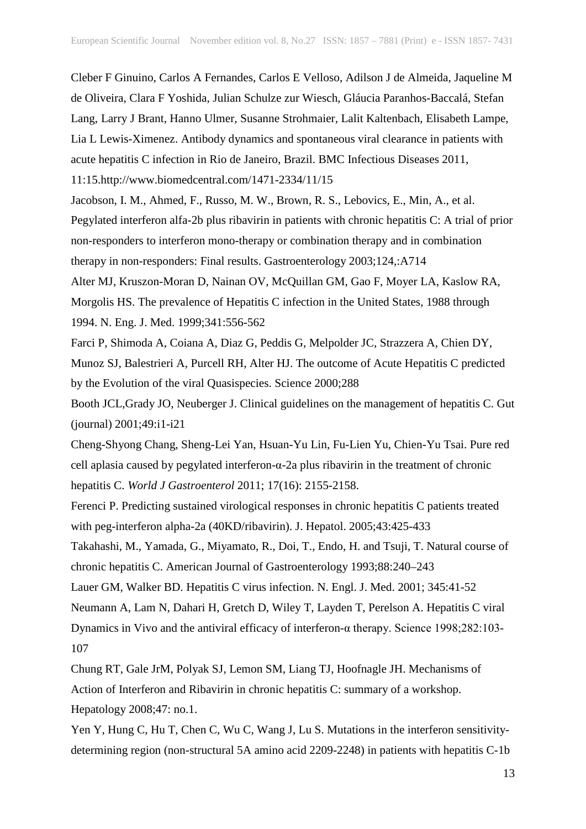Cleber F Ginuino, Carlos A Fernandes, Carlos E Velloso, Adilson J de Almeida, Jaqueline M de Oliveira, Clara F Yoshida, Julian Schulze zur Wiesch, Gláucia Paranhos-Baccalá, Stefan Lang, Larry J Brant, Hanno Ulmer, Susanne Strohmaier, Lalit Kaltenbach, Elisabeth Lampe, Lia L Lewis-Ximenez. Antibody dynamics and spontaneous viral clearance in patients with acute hepatitis C infection in Rio de Janeiro, Brazil. BMC Infectious Diseases 2011, 11:15.http://www.biomedcentral.com/1471-2334/11/15

Jacobson, I. M., Ahmed, F., Russo, M. W., Brown, R. S., Lebovics, E., Min, A., et al. Pegylated interferon alfa-2b plus ribavirin in patients with chronic hepatitis C: A trial of prior non-responders to interferon mono-therapy or combination therapy and in combination therapy in non-responders: Final results. Gastroenterology 2003;124,:A714

Alter MJ, Kruszon-Moran D, Nainan OV, McQuillan GM, Gao F, Moyer LA, Kaslow RA, Morgolis HS. The prevalence of Hepatitis C infection in the United States, 1988 through 1994. N. Eng. J. Med. 1999;341:556-562

Farci P, Shimoda A, Coiana A, Diaz G, Peddis G, Melpolder JC, Strazzera A, Chien DY, Munoz SJ, Balestrieri A, Purcell RH, Alter HJ. The outcome of Acute Hepatitis C predicted by the Evolution of the viral Quasispecies. Science 2000;288

Booth JCL,Grady JO, Neuberger J. Clinical guidelines on the management of hepatitis C. Gut (journal) 2001;49:i1-i21

Cheng-Shyong Chang, Sheng-Lei Yan, Hsuan-Yu Lin, Fu-Lien Yu, Chien-Yu Tsai. Pure red cell aplasia caused by pegylated interferon-α-2a plus ribavirin in the treatment of chronic hepatitis C. *World J Gastroenterol* 2011; 17(16): 2155-2158.

Ferenci P. Predicting sustained virological responses in chronic hepatitis C patients treated with peg-interferon alpha-2a (40KD/ribavirin). J. Hepatol. 2005;43:425-433

Takahashi, M., Yamada, G., Miyamato, R., Doi, T., Endo, H. and Tsuji, T. Natural course of chronic hepatitis C. American Journal of Gastroenterology 1993;88:240–243

Lauer GM, Walker BD. Hepatitis C virus infection. N. Engl. J. Med. 2001; 345:41-52

Neumann A, Lam N, Dahari H, Gretch D, Wiley T, Layden T, Perelson A. Hepatitis C viral Dynamics in Vivo and the antiviral efficacy of interferon-α therapy. Science 1998;282:103- 107

Chung RT, Gale JrM, Polyak SJ, Lemon SM, Liang TJ, Hoofnagle JH. Mechanisms of Action of Interferon and Ribavirin in chronic hepatitis C: summary of a workshop. Hepatology 2008;47: no.1.

Yen Y, Hung C, Hu T, Chen C, Wu C, Wang J, Lu S. Mutations in the interferon sensitivitydetermining region (non-structural 5A amino acid 2209-2248) in patients with hepatitis C-1b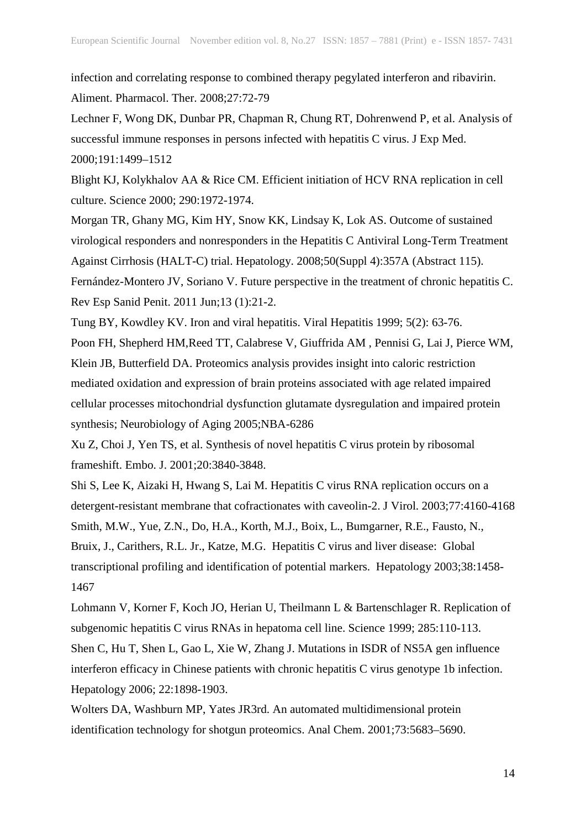infection and correlating response to combined therapy pegylated interferon and ribavirin. Aliment. Pharmacol. Ther. 2008;27:72-79

Lechner F, Wong DK, Dunbar PR, Chapman R, Chung RT, Dohrenwend P, et al. Analysis of successful immune responses in persons infected with hepatitis C virus. J Exp Med. 2000;191:1499–1512

Blight KJ, Kolykhalov AA & Rice CM. Efficient initiation of HCV RNA replication in cell culture. Science 2000; 290:1972-1974.

Morgan TR, Ghany MG, Kim HY, Snow KK, Lindsay K, Lok AS. Outcome of sustained virological responders and nonresponders in the Hepatitis C Antiviral Long-Term Treatment Against Cirrhosis (HALT-C) trial. Hepatology. 2008;50(Suppl 4):357A (Abstract 115). Fernández-Montero JV, Soriano V. Future perspective in the treatment of chronic hepatitis C. Rev Esp Sanid Penit. 2011 Jun;13 (1):21-2.

Tung BY, Kowdley KV. Iron and viral hepatitis. Viral Hepatitis 1999; 5(2): 63-76.

Poon FH, Shepherd HM,Reed TT, Calabrese V, Giuffrida AM , Pennisi G, Lai J, Pierce WM, Klein JB, Butterfield DA. Proteomics analysis provides insight into caloric restriction mediated oxidation and expression of brain proteins associated with age related impaired cellular processes mitochondrial dysfunction glutamate dysregulation and impaired protein synthesis; Neurobiology of Aging 2005;NBA-6286

Xu Z, Choi J, Yen TS, et al. Synthesis of novel hepatitis C virus protein by ribosomal frameshift. Embo. J. 2001;20:3840-3848.

Shi S, Lee K, Aizaki H, Hwang S, Lai M. Hepatitis C virus RNA replication occurs on a detergent-resistant membrane that cofractionates with caveolin-2. J Virol. 2003;77:4160-4168 Smith, M.W., Yue, Z.N., Do, H.A., Korth, M.J., Boix, L., Bumgarner, R.E., Fausto, N., Bruix, J., Carithers, R.L. Jr., Katze, M.G. Hepatitis C virus and liver disease: Global transcriptional profiling and identification of potential markers. Hepatology 2003;38:1458- 1467

Lohmann V, Korner F, Koch JO, Herian U, Theilmann L & Bartenschlager R. Replication of subgenomic hepatitis C virus RNAs in hepatoma cell line. Science 1999; 285:110-113.

Shen C, Hu T, Shen L, Gao L, Xie W, Zhang J. Mutations in ISDR of NS5A gen influence interferon efficacy in Chinese patients with chronic hepatitis C virus genotype 1b infection. Hepatology 2006; 22:1898-1903.

Wolters DA, Washburn MP, Yates JR3rd. An automated multidimensional protein identification technology for shotgun proteomics. Anal Chem. 2001;73:5683–5690.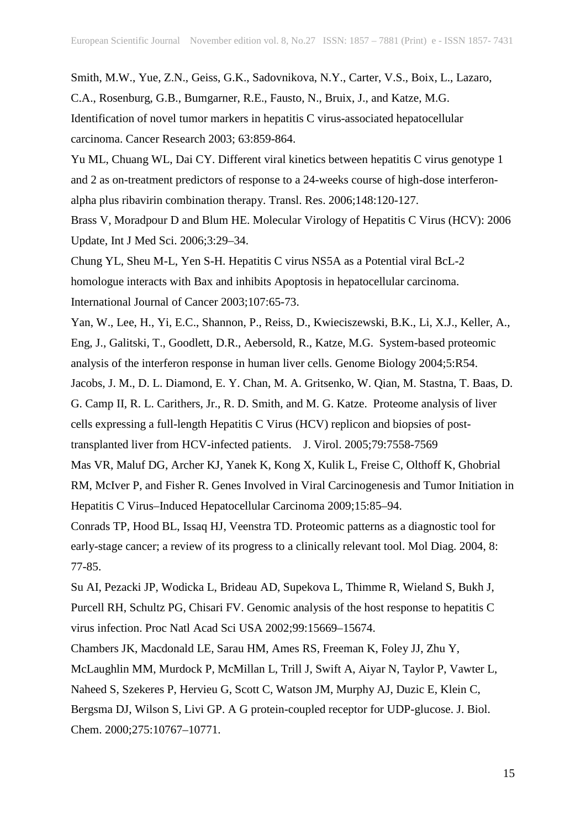Smith, M.W., Yue, Z.N., Geiss, G.K., Sadovnikova, N.Y., Carter, V.S., Boix, L., Lazaro, C.A., Rosenburg, G.B., Bumgarner, R.E., Fausto, N., Bruix, J., and Katze, M.G. Identification of novel tumor markers in hepatitis C virus-associated hepatocellular carcinoma. Cancer Research 2003; 63:859-864.

Yu ML, Chuang WL, Dai CY. Different viral kinetics between hepatitis C virus genotype 1 and 2 as on-treatment predictors of response to a 24-weeks course of high-dose interferonalpha plus ribavirin combination therapy. Transl. Res. 2006;148:120-127.

Brass V, Moradpour D and Blum HE. Molecular Virology of Hepatitis C Virus (HCV): 2006 Update, Int J Med Sci. 2006;3:29–34.

Chung YL, Sheu M-L, Yen S-H. Hepatitis C virus NS5A as a Potential viral BcL-2 homologue interacts with Bax and inhibits Apoptosis in hepatocellular carcinoma. International Journal of Cancer 2003;107:65-73.

Yan, W., Lee, H., Yi, E.C., Shannon, P., Reiss, D., Kwieciszewski, B.K., Li, X.J., Keller, A., Eng, J., Galitski, T., Goodlett, D.R., Aebersold, R., Katze, M.G. System-based proteomic analysis of the interferon response in human liver cells. Genome Biology 2004;5:R54.

Jacobs, J. M., D. L. Diamond, E. Y. Chan, M. A. Gritsenko, W. Qian, M. Stastna, T. Baas, D. G. Camp II, R. L. Carithers, Jr., R. D. Smith, and M. G. Katze. Proteome analysis of liver cells expressing a full-length Hepatitis C Virus (HCV) replicon and biopsies of posttransplanted liver from HCV-infected patients. J. Virol. 2005;79:7558-7569

Mas VR, Maluf DG, Archer KJ, Yanek K, Kong X, Kulik L, Freise C, Olthoff K, Ghobrial RM, McIver P, and Fisher R. Genes Involved in Viral Carcinogenesis and Tumor Initiation in Hepatitis C Virus–Induced Hepatocellular Carcinoma 2009;15:85–94.

Conrads TP, Hood BL, Issaq HJ, Veenstra TD. Proteomic patterns as a diagnostic tool for early-stage cancer; a review of its progress to a clinically relevant tool. Mol Diag. 2004, 8: 77-85.

Su AI, Pezacki JP, Wodicka L, Brideau AD, Supekova L, Thimme R, Wieland S, Bukh J, Purcell RH, Schultz PG, Chisari FV. Genomic analysis of the host response to hepatitis C virus infection. Proc Natl Acad Sci USA 2002;99:15669–15674.

Chambers JK, Macdonald LE, Sarau HM, Ames RS, Freeman K, Foley JJ, Zhu Y,

McLaughlin MM, Murdock P, McMillan L, Trill J, Swift A, Aiyar N, Taylor P, Vawter L, Naheed S, Szekeres P, Hervieu G, Scott C, Watson JM, Murphy AJ, Duzic E, Klein C, Bergsma DJ, Wilson S, Livi GP. A G protein-coupled receptor for UDP-glucose. J. Biol. Chem. 2000;275:10767–10771.